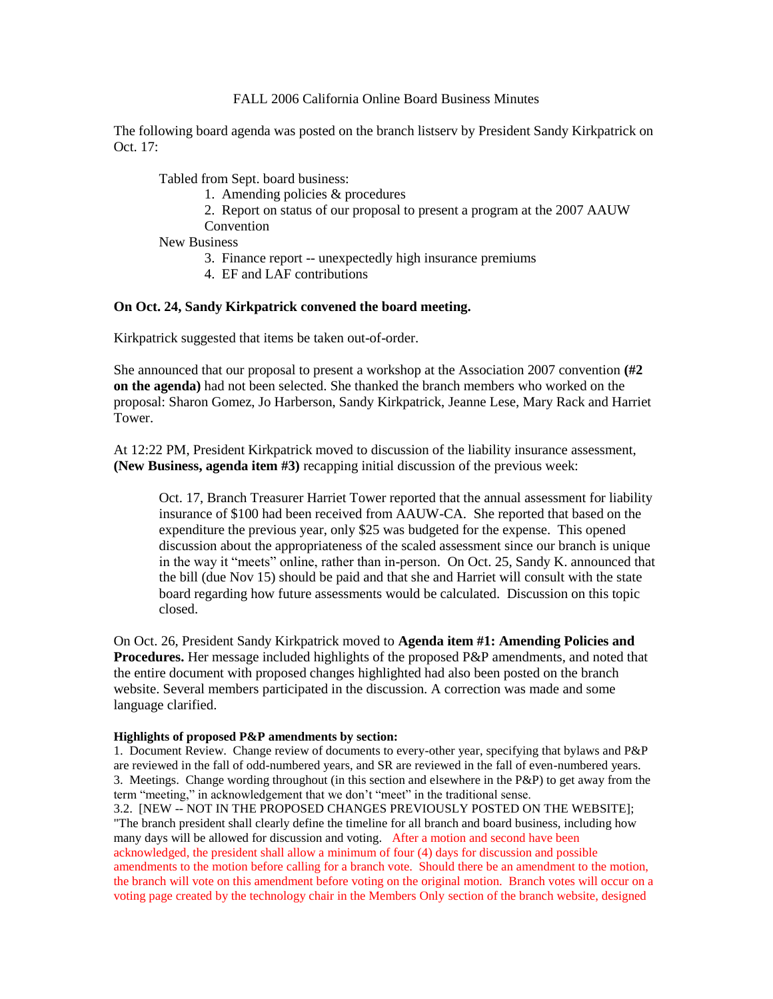## FALL 2006 California Online Board Business Minutes

The following board agenda was posted on the branch listserv by President Sandy Kirkpatrick on Oct. 17:

Tabled from Sept. board business:

1. Amending policies & procedures

2. Report on status of our proposal to present a program at the 2007 AAUW

Convention

New Business

- 3. Finance report -- unexpectedly high insurance premiums
- 4. EF and LAF contributions

## **On Oct. 24, Sandy Kirkpatrick convened the board meeting.**

Kirkpatrick suggested that items be taken out-of-order.

She announced that our proposal to present a workshop at the Association 2007 convention **(#2 on the agenda)** had not been selected. She thanked the branch members who worked on the proposal: Sharon Gomez, Jo Harberson, Sandy Kirkpatrick, Jeanne Lese, Mary Rack and Harriet Tower.

At 12:22 PM, President Kirkpatrick moved to discussion of the liability insurance assessment, **(New Business, agenda item #3)** recapping initial discussion of the previous week:

Oct. 17, Branch Treasurer Harriet Tower reported that the annual assessment for liability insurance of \$100 had been received from AAUW-CA. She reported that based on the expenditure the previous year, only \$25 was budgeted for the expense. This opened discussion about the appropriateness of the scaled assessment since our branch is unique in the way it "meets" online, rather than in-person. On Oct. 25, Sandy K. announced that the bill (due Nov 15) should be paid and that she and Harriet will consult with the state board regarding how future assessments would be calculated. Discussion on this topic closed.

On Oct. 26, President Sandy Kirkpatrick moved to **Agenda item #1: Amending Policies and Procedures.** Her message included highlights of the proposed P&P amendments, and noted that the entire document with proposed changes highlighted had also been posted on the branch website. Several members participated in the discussion. A correction was made and some language clarified.

## **Highlights of proposed P&P amendments by section:**

1. Document Review. Change review of documents to every-other year, specifying that bylaws and P&P are reviewed in the fall of odd-numbered years, and SR are reviewed in the fall of even-numbered years. 3. Meetings. Change wording throughout (in this section and elsewhere in the P&P) to get away from the term "meeting," in acknowledgement that we don't "meet" in the traditional sense. 3.2. [NEW -- NOT IN THE PROPOSED CHANGES PREVIOUSLY POSTED ON THE WEBSITE]; "The branch president shall clearly define the timeline for all branch and board business, including how many days will be allowed for discussion and voting. After a motion and second have been acknowledged, the president shall allow a minimum of four (4) days for discussion and possible amendments to the motion before calling for a branch vote. Should there be an amendment to the motion, the branch will vote on this amendment before voting on the original motion. Branch votes will occur on a voting page created by the technology chair in the Members Only section of the branch website, designed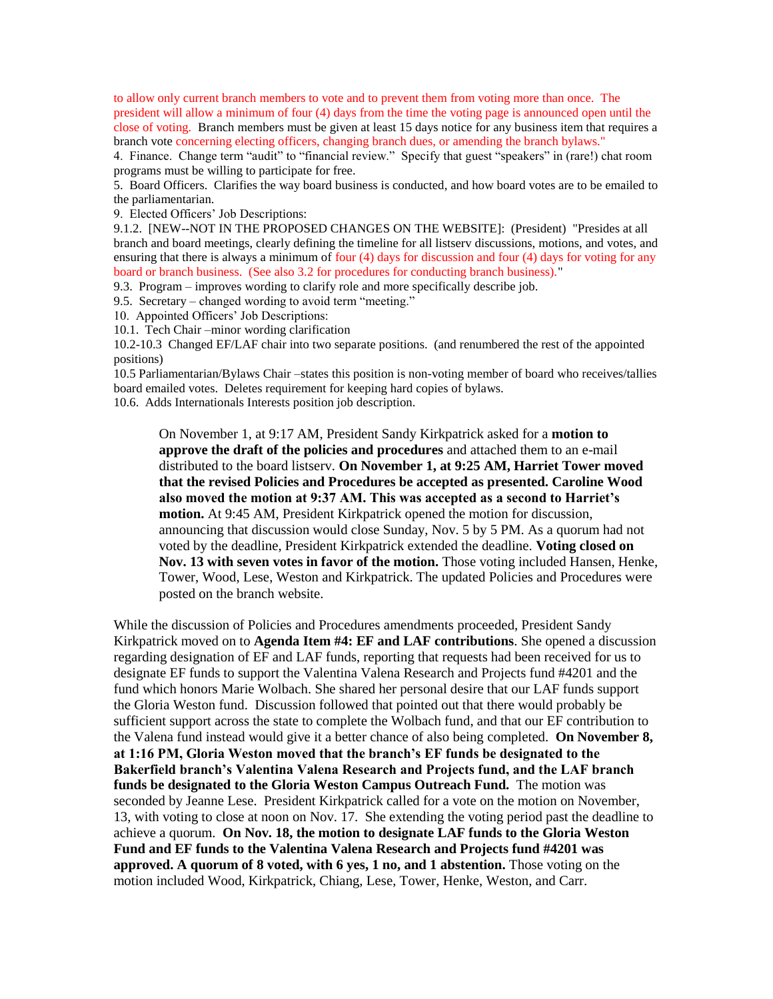to allow only current branch members to vote and to prevent them from voting more than once. The president will allow a minimum of four (4) days from the time the voting page is announced open until the close of voting. Branch members must be given at least 15 days notice for any business item that requires a branch vote concerning electing officers, changing branch dues, or amending the branch bylaws."

4. Finance. Change term "audit" to "financial review." Specify that guest "speakers" in (rare!) chat room programs must be willing to participate for free.

5. Board Officers. Clarifies the way board business is conducted, and how board votes are to be emailed to the parliamentarian.

9. Elected Officers' Job Descriptions:

9.1.2. [NEW--NOT IN THE PROPOSED CHANGES ON THE WEBSITE]: (President) "Presides at all branch and board meetings, clearly defining the timeline for all listserv discussions, motions, and votes, and ensuring that there is always a minimum of four (4) days for discussion and four (4) days for voting for any board or branch business. (See also 3.2 for procedures for conducting branch business)."

9.3. Program – improves wording to clarify role and more specifically describe job.

9.5. Secretary – changed wording to avoid term "meeting."

10. Appointed Officers' Job Descriptions:

10.1. Tech Chair –minor wording clarification

10.2-10.3 Changed EF/LAF chair into two separate positions. (and renumbered the rest of the appointed positions)

10.5 Parliamentarian/Bylaws Chair –states this position is non-voting member of board who receives/tallies board emailed votes. Deletes requirement for keeping hard copies of bylaws.

10.6. Adds Internationals Interests position job description.

On November 1, at 9:17 AM, President Sandy Kirkpatrick asked for a **motion to approve the draft of the policies and procedures** and attached them to an e-mail distributed to the board listserv. **On November 1, at 9:25 AM, Harriet Tower moved that the revised Policies and Procedures be accepted as presented. Caroline Wood also moved the motion at 9:37 AM. This was accepted as a second to Harriet's motion.** At 9:45 AM, President Kirkpatrick opened the motion for discussion, announcing that discussion would close Sunday, Nov. 5 by 5 PM. As a quorum had not voted by the deadline, President Kirkpatrick extended the deadline. **Voting closed on Nov. 13 with seven votes in favor of the motion.** Those voting included Hansen, Henke, Tower, Wood, Lese, Weston and Kirkpatrick. The updated Policies and Procedures were posted on the branch website.

While the discussion of Policies and Procedures amendments proceeded, President Sandy Kirkpatrick moved on to **Agenda Item #4: EF and LAF contributions**. She opened a discussion regarding designation of EF and LAF funds, reporting that requests had been received for us to designate EF funds to support the Valentina Valena Research and Projects fund #4201 and the fund which honors Marie Wolbach. She shared her personal desire that our LAF funds support the Gloria Weston fund. Discussion followed that pointed out that there would probably be sufficient support across the state to complete the Wolbach fund, and that our EF contribution to the Valena fund instead would give it a better chance of also being completed. **On November 8, at 1:16 PM, Gloria Weston moved that the branch's EF funds be designated to the Bakerfield branch's Valentina Valena Research and Projects fund, and the LAF branch funds be designated to the Gloria Weston Campus Outreach Fund.** The motion was seconded by Jeanne Lese. President Kirkpatrick called for a vote on the motion on November, 13, with voting to close at noon on Nov. 17. She extending the voting period past the deadline to achieve a quorum. **On Nov. 18, the motion to designate LAF funds to the Gloria Weston Fund and EF funds to the Valentina Valena Research and Projects fund #4201 was approved. A quorum of 8 voted, with 6 yes, 1 no, and 1 abstention.** Those voting on the motion included Wood, Kirkpatrick, Chiang, Lese, Tower, Henke, Weston, and Carr.